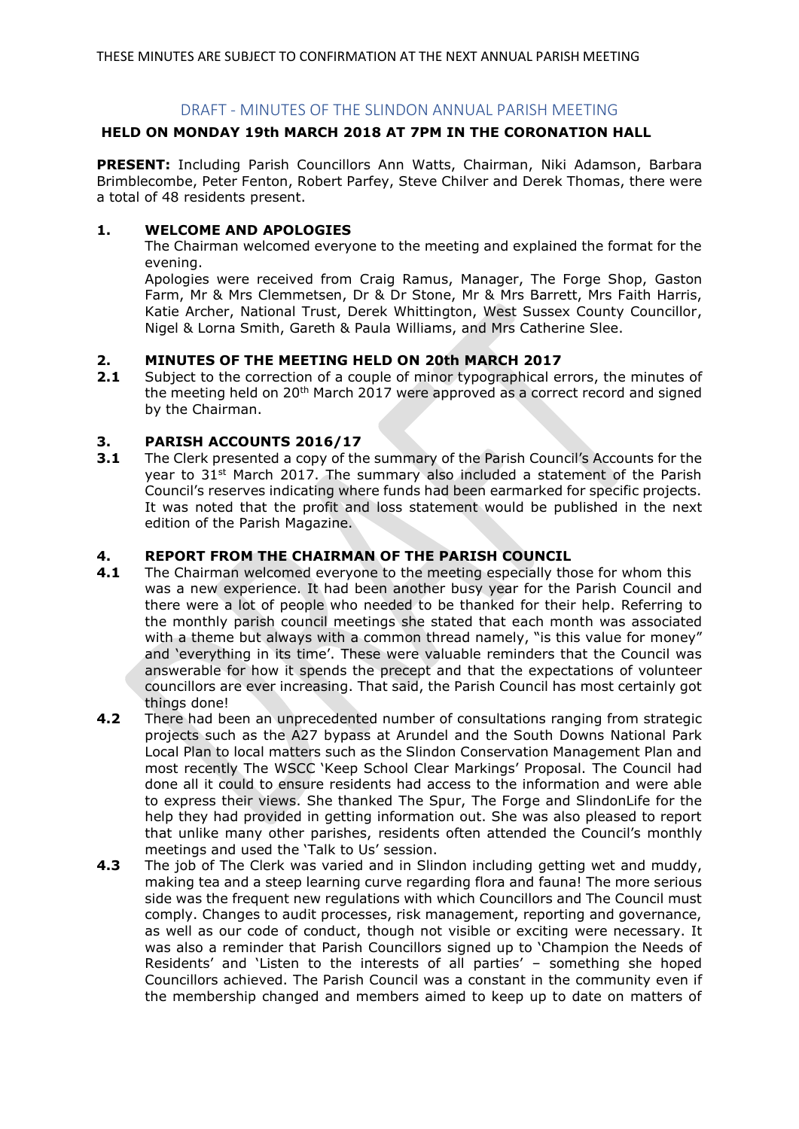# DRAFT - MINUTES OF THE SLINDON ANNUAL PARISH MEETING

# **HELD ON MONDAY 19th MARCH 2018 AT 7PM IN THE CORONATION HALL**

**PRESENT:** Including Parish Councillors Ann Watts, Chairman, Niki Adamson, Barbara Brimblecombe, Peter Fenton, Robert Parfey, Steve Chilver and Derek Thomas, there were a total of 48 residents present.

## **1. WELCOME AND APOLOGIES**

The Chairman welcomed everyone to the meeting and explained the format for the evening.

Apologies were received from Craig Ramus, Manager, The Forge Shop, Gaston Farm, Mr & Mrs Clemmetsen, Dr & Dr Stone, Mr & Mrs Barrett, Mrs Faith Harris, Katie Archer, National Trust, Derek Whittington, West Sussex County Councillor, Nigel & Lorna Smith, Gareth & Paula Williams, and Mrs Catherine Slee.

## **2. MINUTES OF THE MEETING HELD ON 20th MARCH 2017**

**2.1** Subject to the correction of a couple of minor typographical errors, the minutes of the meeting held on 20<sup>th</sup> March 2017 were approved as a correct record and signed by the Chairman.

# **3. PARISH ACCOUNTS 2016/17**

**3.1** The Clerk presented a copy of the summary of the Parish Council's Accounts for the year to  $31<sup>st</sup>$  March 2017. The summary also included a statement of the Parish Council's reserves indicating where funds had been earmarked for specific projects. It was noted that the profit and loss statement would be published in the next edition of the Parish Magazine.

## **4. REPORT FROM THE CHAIRMAN OF THE PARISH COUNCIL**

- **4.1** The Chairman welcomed everyone to the meeting especially those for whom this was a new experience. It had been another busy year for the Parish Council and there were a lot of people who needed to be thanked for their help. Referring to the monthly parish council meetings she stated that each month was associated with a theme but always with a common thread namely, "is this value for money" and 'everything in its time'. These were valuable reminders that the Council was answerable for how it spends the precept and that the expectations of volunteer councillors are ever increasing. That said, the Parish Council has most certainly got things done!
- **4.2** There had been an unprecedented number of consultations ranging from strategic projects such as the A27 bypass at Arundel and the South Downs National Park Local Plan to local matters such as the Slindon Conservation Management Plan and most recently The WSCC 'Keep School Clear Markings' Proposal. The Council had done all it could to ensure residents had access to the information and were able to express their views. She thanked The Spur, The Forge and SlindonLife for the help they had provided in getting information out. She was also pleased to report that unlike many other parishes, residents often attended the Council's monthly meetings and used the 'Talk to Us' session.
- **4.3** The job of The Clerk was varied and in Slindon including getting wet and muddy, making tea and a steep learning curve regarding flora and fauna! The more serious side was the frequent new regulations with which Councillors and The Council must comply. Changes to audit processes, risk management, reporting and governance, as well as our code of conduct, though not visible or exciting were necessary. It was also a reminder that Parish Councillors signed up to 'Champion the Needs of Residents' and 'Listen to the interests of all parties' – something she hoped Councillors achieved. The Parish Council was a constant in the community even if the membership changed and members aimed to keep up to date on matters of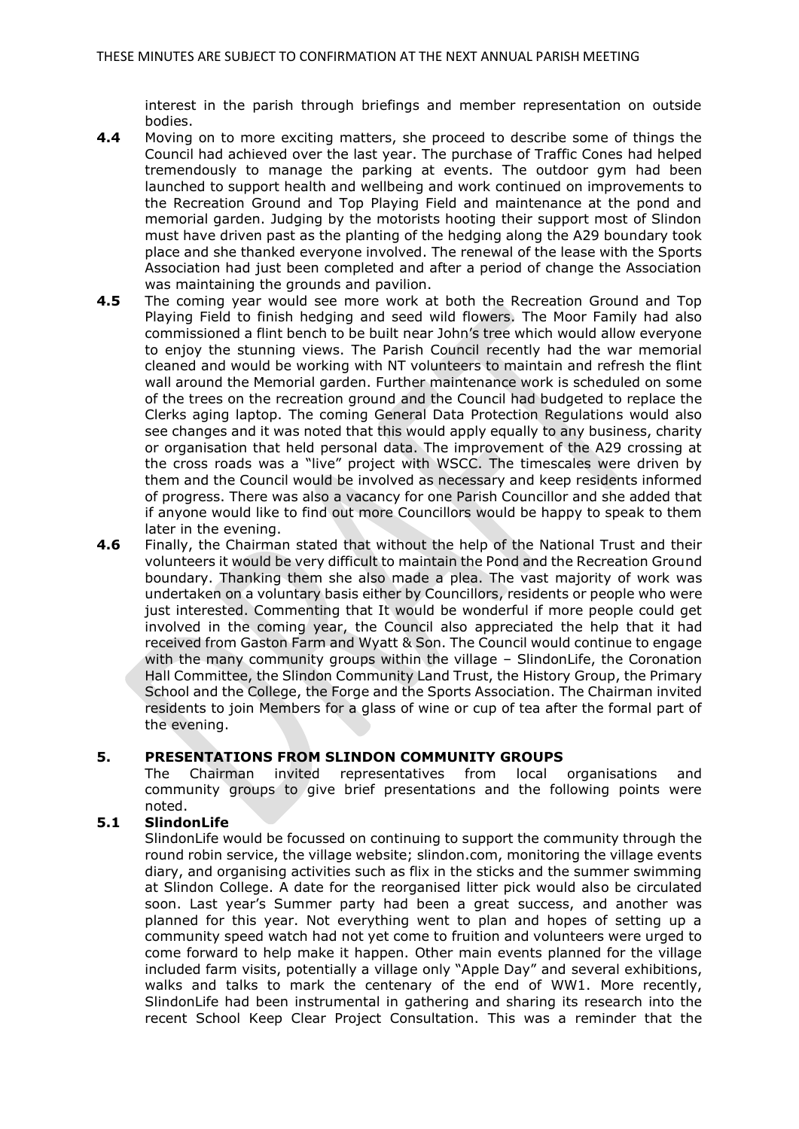interest in the parish through briefings and member representation on outside bodies.

- **4.4** Moving on to more exciting matters, she proceed to describe some of things the Council had achieved over the last year. The purchase of Traffic Cones had helped tremendously to manage the parking at events. The outdoor gym had been launched to support health and wellbeing and work continued on improvements to the Recreation Ground and Top Playing Field and maintenance at the pond and memorial garden. Judging by the motorists hooting their support most of Slindon must have driven past as the planting of the hedging along the A29 boundary took place and she thanked everyone involved. The renewal of the lease with the Sports Association had just been completed and after a period of change the Association was maintaining the grounds and pavilion.
- **4.5** The coming year would see more work at both the Recreation Ground and Top Playing Field to finish hedging and seed wild flowers. The Moor Family had also commissioned a flint bench to be built near John's tree which would allow everyone to enjoy the stunning views. The Parish Council recently had the war memorial cleaned and would be working with NT volunteers to maintain and refresh the flint wall around the Memorial garden. Further maintenance work is scheduled on some of the trees on the recreation ground and the Council had budgeted to replace the Clerks aging laptop. The coming General Data Protection Regulations would also see changes and it was noted that this would apply equally to any business, charity or organisation that held personal data. The improvement of the A29 crossing at the cross roads was a "live" project with WSCC. The timescales were driven by them and the Council would be involved as necessary and keep residents informed of progress. There was also a vacancy for one Parish Councillor and she added that if anyone would like to find out more Councillors would be happy to speak to them later in the evening.
- **4.6** Finally, the Chairman stated that without the help of the National Trust and their volunteers it would be very difficult to maintain the Pond and the Recreation Ground boundary. Thanking them she also made a plea. The vast majority of work was undertaken on a voluntary basis either by Councillors, residents or people who were just interested. Commenting that It would be wonderful if more people could get involved in the coming year, the Council also appreciated the help that it had received from Gaston Farm and Wyatt & Son. The Council would continue to engage with the many community groups within the village – SlindonLife, the Coronation Hall Committee, the Slindon Community Land Trust, the History Group, the Primary School and the College, the Forge and the Sports Association. The Chairman invited residents to join Members for a glass of wine or cup of tea after the formal part of the evening.

### **5. PRESENTATIONS FROM SLINDON COMMUNITY GROUPS**

The Chairman invited representatives from local organisations and community groups to give brief presentations and the following points were noted.

## **5.1 SlindonLife**

SlindonLife would be focussed on continuing to support the community through the round robin service, the village website; slindon.com, monitoring the village events diary, and organising activities such as flix in the sticks and the summer swimming at Slindon College. A date for the reorganised litter pick would also be circulated soon. Last year's Summer party had been a great success, and another was planned for this year. Not everything went to plan and hopes of setting up a community speed watch had not yet come to fruition and volunteers were urged to come forward to help make it happen. Other main events planned for the village included farm visits, potentially a village only "Apple Day" and several exhibitions, walks and talks to mark the centenary of the end of WW1. More recently, SlindonLife had been instrumental in gathering and sharing its research into the recent School Keep Clear Project Consultation. This was a reminder that the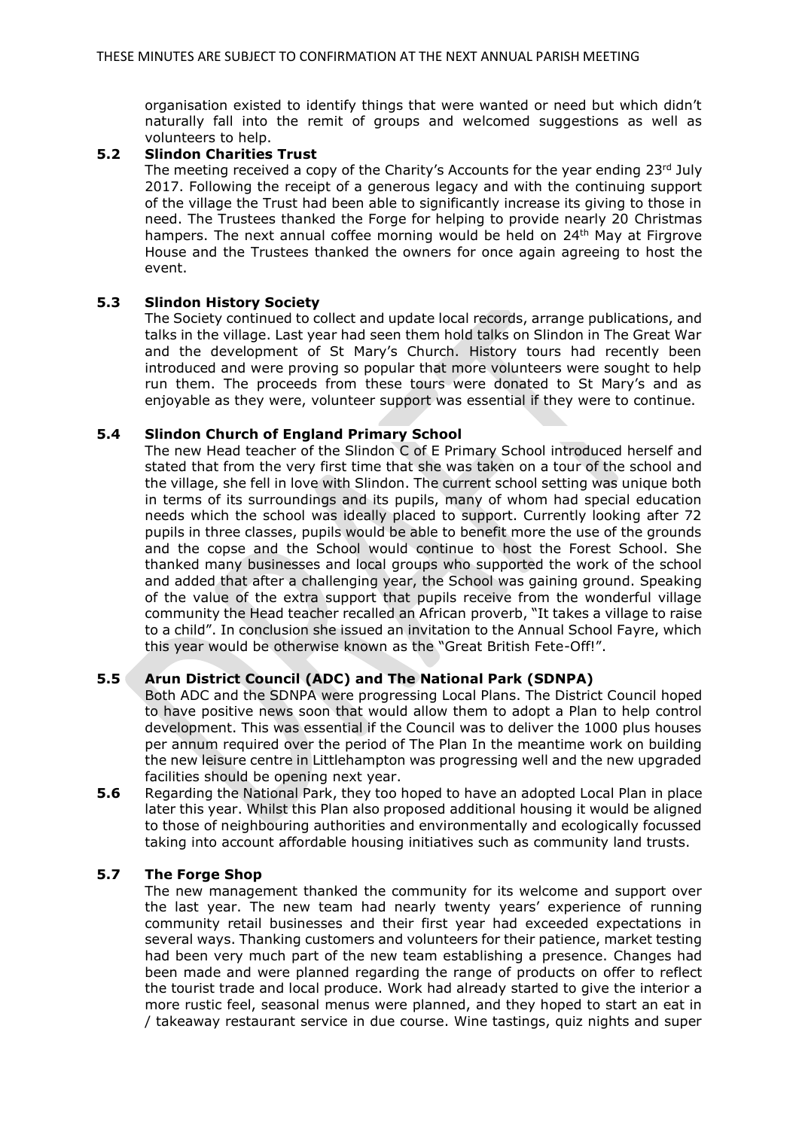organisation existed to identify things that were wanted or need but which didn't naturally fall into the remit of groups and welcomed suggestions as well as volunteers to help.

#### **5.2 Slindon Charities Trust**

The meeting received a copy of the Charity's Accounts for the year ending 23rd July 2017. Following the receipt of a generous legacy and with the continuing support of the village the Trust had been able to significantly increase its giving to those in need. The Trustees thanked the Forge for helping to provide nearly 20 Christmas hampers. The next annual coffee morning would be held on 24<sup>th</sup> May at Firgrove House and the Trustees thanked the owners for once again agreeing to host the event.

### **5.3 Slindon History Society**

The Society continued to collect and update local records, arrange publications, and talks in the village. Last year had seen them hold talks on Slindon in The Great War and the development of St Mary's Church. History tours had recently been introduced and were proving so popular that more volunteers were sought to help run them. The proceeds from these tours were donated to St Mary's and as enjoyable as they were, volunteer support was essential if they were to continue.

### **5.4 Slindon Church of England Primary School**

The new Head teacher of the Slindon C of E Primary School introduced herself and stated that from the very first time that she was taken on a tour of the school and the village, she fell in love with Slindon. The current school setting was unique both in terms of its surroundings and its pupils, many of whom had special education needs which the school was ideally placed to support. Currently looking after 72 pupils in three classes, pupils would be able to benefit more the use of the grounds and the copse and the School would continue to host the Forest School. She thanked many businesses and local groups who supported the work of the school and added that after a challenging year, the School was gaining ground. Speaking of the value of the extra support that pupils receive from the wonderful village community the Head teacher recalled an African proverb, "It takes a village to raise to a child". In conclusion she issued an invitation to the Annual School Fayre, which this year would be otherwise known as the "Great British Fete-Off!".

## **5.5 Arun District Council (ADC) and The National Park (SDNPA)**

Both ADC and the SDNPA were progressing Local Plans. The District Council hoped to have positive news soon that would allow them to adopt a Plan to help control development. This was essential if the Council was to deliver the 1000 plus houses per annum required over the period of The Plan In the meantime work on building the new leisure centre in Littlehampton was progressing well and the new upgraded facilities should be opening next year.

**5.6** Regarding the National Park, they too hoped to have an adopted Local Plan in place later this year. Whilst this Plan also proposed additional housing it would be aligned to those of neighbouring authorities and environmentally and ecologically focussed taking into account affordable housing initiatives such as community land trusts.

## **5.7 The Forge Shop**

The new management thanked the community for its welcome and support over the last year. The new team had nearly twenty years' experience of running community retail businesses and their first year had exceeded expectations in several ways. Thanking customers and volunteers for their patience, market testing had been very much part of the new team establishing a presence. Changes had been made and were planned regarding the range of products on offer to reflect the tourist trade and local produce. Work had already started to give the interior a more rustic feel, seasonal menus were planned, and they hoped to start an eat in / takeaway restaurant service in due course. Wine tastings, quiz nights and super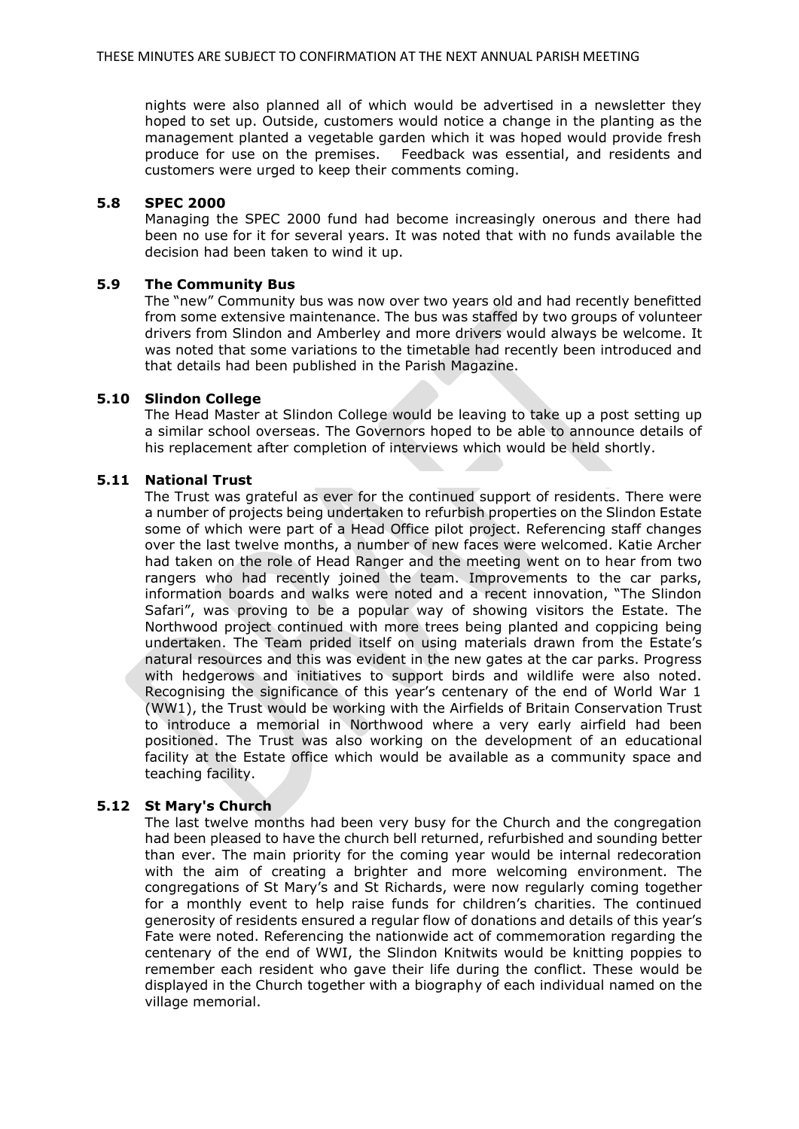nights were also planned all of which would be advertised in a newsletter they hoped to set up. Outside, customers would notice a change in the planting as the management planted a vegetable garden which it was hoped would provide fresh produce for use on the premises. Feedback was essential, and residents and customers were urged to keep their comments coming.

#### **5.8 SPEC 2000**

Managing the SPEC 2000 fund had become increasingly onerous and there had been no use for it for several years. It was noted that with no funds available the decision had been taken to wind it up.

### **5.9 The Community Bus**

The "new" Community bus was now over two years old and had recently benefitted from some extensive maintenance. The bus was staffed by two groups of volunteer drivers from Slindon and Amberley and more drivers would always be welcome. It was noted that some variations to the timetable had recently been introduced and that details had been published in the Parish Magazine.

#### **5.10 Slindon College**

The Head Master at Slindon College would be leaving to take up a post setting up a similar school overseas. The Governors hoped to be able to announce details of his replacement after completion of interviews which would be held shortly.

### **5.11 National Trust**

The Trust was grateful as ever for the continued support of residents. There were a number of projects being undertaken to refurbish properties on the Slindon Estate some of which were part of a Head Office pilot project. Referencing staff changes over the last twelve months, a number of new faces were welcomed. Katie Archer had taken on the role of Head Ranger and the meeting went on to hear from two rangers who had recently joined the team. Improvements to the car parks, information boards and walks were noted and a recent innovation, "The Slindon Safari", was proving to be a popular way of showing visitors the Estate. The Northwood project continued with more trees being planted and coppicing being undertaken. The Team prided itself on using materials drawn from the Estate's natural resources and this was evident in the new gates at the car parks. Progress with hedgerows and initiatives to support birds and wildlife were also noted. Recognising the significance of this year's centenary of the end of World War 1 (WW1), the Trust would be working with the Airfields of Britain Conservation Trust to introduce a memorial in Northwood where a very early airfield had been positioned. The Trust was also working on the development of an educational facility at the Estate office which would be available as a community space and teaching facility.

### **5.12 St Mary's Church**

The last twelve months had been very busy for the Church and the congregation had been pleased to have the church bell returned, refurbished and sounding better than ever. The main priority for the coming year would be internal redecoration with the aim of creating a brighter and more welcoming environment. The congregations of St Mary's and St Richards, were now regularly coming together for a monthly event to help raise funds for children's charities. The continued generosity of residents ensured a regular flow of donations and details of this year's Fate were noted. Referencing the nationwide act of commemoration regarding the centenary of the end of WWI, the Slindon Knitwits would be knitting poppies to remember each resident who gave their life during the conflict. These would be displayed in the Church together with a biography of each individual named on the village memorial.